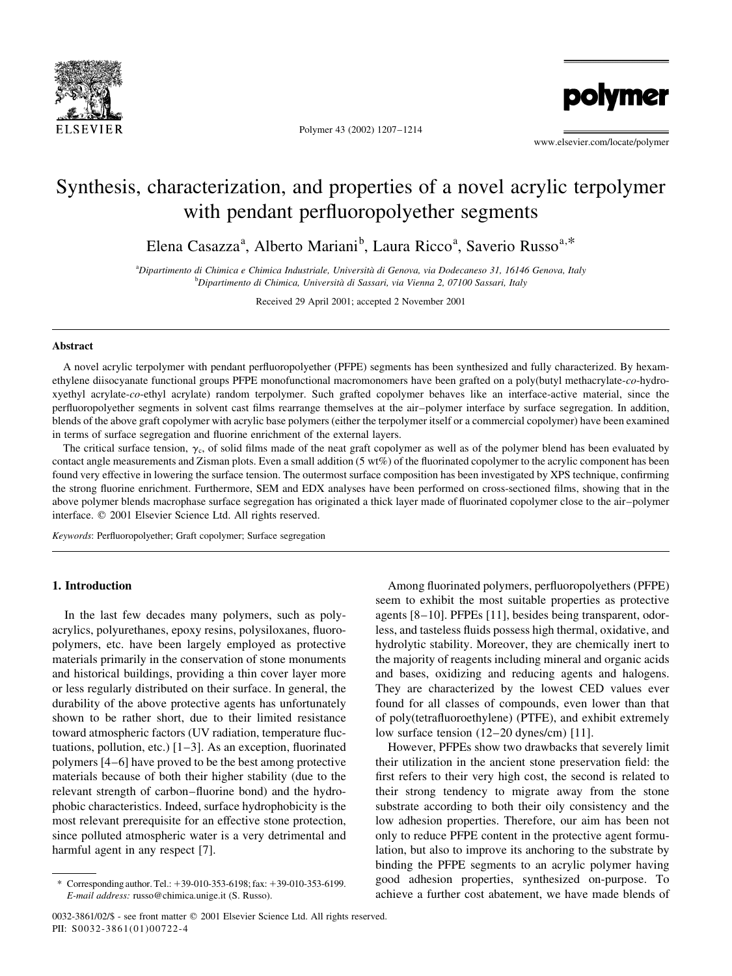

Polymer 43 (2002) 1207-1214

polymer

www.elsevier.com/locate/polymer

# Synthesis, characterization, and properties of a novel acrylic terpolymer with pendant perfluoropolyether segments

Elena Casazza<sup>a</sup>, Alberto Mariani<sup>b</sup>, Laura Ricco<sup>a</sup>, Saverio Russo<sup>a,\*</sup>

<sup>a</sup>Dipartimento di Chimica e Chimica Industriale, Università di Genova, via Dodecaneso 31, 16146 Genova, Italy <sup>b</sup>Dipartimento di Chimica, Università di Sassari, via Vienna 2, 07100 Sassari, Italy

Received 29 April 2001; accepted 2 November 2001

# **Abstract**

A novel acrylic terpolymer with pendant perfluoropolyether (PFPE) segments has been synthesized and fully characterized. By hexamethylene diisocyanate functional groups PFPE monofunctional macromonomers have been grafted on a poly(butyl methacrylate-co-hydroxyethyl acrylate-co-ethyl acrylate) random terpolymer. Such grafted copolymer behaves like an interface-active material, since the perfluoropolyether segments in solvent cast films rearrange themselves at the air-polymer interface by surface segregation. In addition, blends of the above graft copolymer with acrylic base polymers (either the terpolymer itself or a commercial copolymer) have been examined in terms of surface segregation and fluorine enrichment of the external layers.

The critical surface tension,  $\gamma_c$ , of solid films made of the neat graft copolymer as well as of the polymer blend has been evaluated by contact angle measurements and Zisman plots. Even a small addition (5 wt%) of the fluorinated copolymer to the acrylic component has been found very effective in lowering the surface tension. The outermost surface composition has been investigated by XPS technique, confirming the strong fluorine enrichment. Furthermore, SEM and EDX analyses have been performed on cross-sectioned films, showing that in the above polymer blends macrophase surface segregation has originated a thick layer made of fluorinated copolymer close to the air-polymer interface. © 2001 Elsevier Science Ltd. All rights reserved.

Keywords: Perfluoropolyether; Graft copolymer; Surface segregation

## 1. Introduction

In the last few decades many polymers, such as polyacrylics, polyurethanes, epoxy resins, polysiloxanes, fluoropolymers, etc. have been largely employed as protective materials primarily in the conservation of stone monuments and historical buildings, providing a thin cover layer more or less regularly distributed on their surface. In general, the durability of the above protective agents has unfortunately shown to be rather short, due to their limited resistance toward atmospheric factors (UV radiation, temperature fluctuations, pollution, etc.)  $[1-3]$ . As an exception, fluorinated polymers [4–6] have proved to be the best among protective materials because of both their higher stability (due to the relevant strength of carbon-fluorine bond) and the hydrophobic characteristics. Indeed, surface hydrophobicity is the most relevant prerequisite for an effective stone protection, since polluted atmospheric water is a very detrimental and harmful agent in any respect [7].

Among fluorinated polymers, perfluoropolyethers (PFPE) seem to exhibit the most suitable properties as protective agents [8-10]. PFPEs [11], besides being transparent, odorless, and tasteless fluids possess high thermal, oxidative, and hydrolytic stability. Moreover, they are chemically inert to the majority of reagents including mineral and organic acids and bases, oxidizing and reducing agents and halogens. They are characterized by the lowest CED values ever found for all classes of compounds, even lower than that of poly(tetrafluoroethylene) (PTFE), and exhibit extremely low surface tension (12-20 dynes/cm) [11].

However, PFPEs show two drawbacks that severely limit their utilization in the ancient stone preservation field: the first refers to their very high cost, the second is related to their strong tendency to migrate away from the stone substrate according to both their oily consistency and the low adhesion properties. Therefore, our aim has been not only to reduce PFPE content in the protective agent formulation, but also to improve its anchoring to the substrate by binding the PFPE segments to an acrylic polymer having good adhesion properties, synthesized on-purpose. To achieve a further cost abatement, we have made blends of

Corresponding author. Tel.: +39-010-353-6198; fax: +39-010-353-6199. E-mail address: russo@chimica.unige.it (S. Russo).

<sup>0032-3861/02/\$ -</sup> see front matter © 2001 Elsevier Science Ltd. All rights reserved. PII: S0032-3861(01)00722-4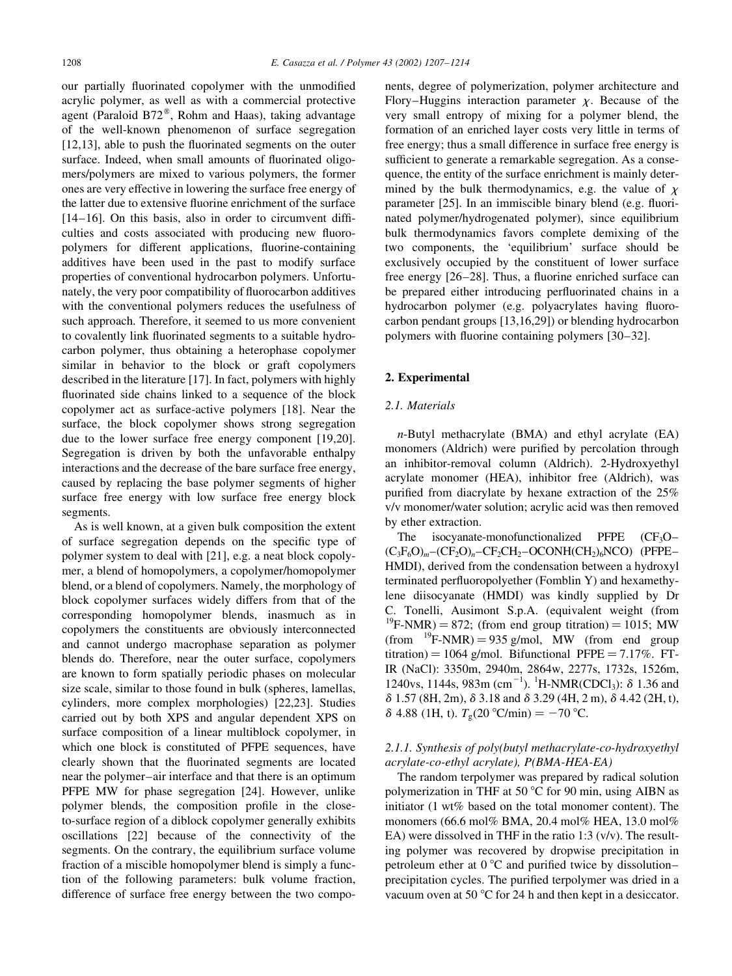our partially fluorinated copolymer with the unmodified acrylic polymer, as well as with a commercial protective agent (Paraloid B72<sup>®</sup>, Rohm and Haas), taking advantage of the well-known phenomenon of surface segregation  $[12,13]$ , able to push the fluorinated segments on the outer surface. Indeed, when small amounts of fluorinated oligomers/polymers are mixed to various polymers, the former ones are very effective in lowering the surface free energy of the latter due to extensive fluorine enrichment of the surface  $[14-16]$ . On this basis, also in order to circumvent difficulties and costs associated with producing new fluoropolymers for different applications, fluorine-containing additives have been used in the past to modify surface properties of conventional hydrocarbon polymers. Unfortunately, the very poor compatibility of fluorocarbon additives with the conventional polymers reduces the usefulness of such approach. Therefore, it seemed to us more convenient to covalently link fluorinated segments to a suitable hydrocarbon polymer, thus obtaining a heterophase copolymer similar in behavior to the block or graft copolymers described in the literature [17]. In fact, polymers with highly fluorinated side chains linked to a sequence of the block copolymer act as surface-active polymers [18]. Near the surface, the block copolymer shows strong segregation due to the lower surface free energy component [19,20]. Segregation is driven by both the unfavorable enthalpy interactions and the decrease of the bare surface free energy, caused by replacing the base polymer segments of higher surface free energy with low surface free energy block segments.

As is well known, at a given bulk composition the extent of surface segregation depends on the specific type of polymer system to deal with [21], e.g. a neat block copolymer, a blend of homopolymers, a copolymer/homopolymer blend, or a blend of copolymers. Namely, the morphology of block copolymer surfaces widely differs from that of the corresponding homopolymer blends, inasmuch as in copolymers the constituents are obviously interconnected and cannot undergo macrophase separation as polymer blends do. Therefore, near the outer surface, copolymers are known to form spatially periodic phases on molecular size scale, similar to those found in bulk (spheres, lamellas, cylinders, more complex morphologies) [22,23]. Studies carried out by both XPS and angular dependent XPS on surface composition of a linear multiblock copolymer, in which one block is constituted of PFPE sequences, have clearly shown that the fluorinated segments are located near the polymer-air interface and that there is an optimum PFPE MW for phase segregation [24]. However, unlike polymer blends, the composition profile in the closeto-surface region of a diblock copolymer generally exhibits oscillations [22] because of the connectivity of the segments. On the contrary, the equilibrium surface volume fraction of a miscible homopolymer blend is simply a function of the following parameters: bulk volume fraction, difference of surface free energy between the two components, degree of polymerization, polymer architecture and Flory–Huggins interaction parameter  $\chi$ . Because of the very small entropy of mixing for a polymer blend, the formation of an enriched layer costs very little in terms of free energy; thus a small difference in surface free energy is sufficient to generate a remarkable segregation. As a consequence, the entity of the surface enrichment is mainly determined by the bulk thermodynamics, e.g. the value of  $\chi$ parameter [25]. In an immiscible binary blend (e.g. fluorinated polymer/hydrogenated polymer), since equilibrium bulk thermodynamics favors complete demixing of the two components, the 'equilibrium' surface should be exclusively occupied by the constituent of lower surface free energy [26–28]. Thus, a fluorine enriched surface can be prepared either introducing perfluorinated chains in a hydrocarbon polymer (e.g. polyacrylates having fluorocarbon pendant groups  $[13,16,29]$  or blending hydrocarbon polymers with fluorine containing polymers [30–32].

#### 2. Experimental

# 2.1. Materials

*n*-Butyl methacrylate (BMA) and ethyl acrylate (EA) monomers (Aldrich) were purified by percolation through an inhibitor-removal column (Aldrich). 2-Hydroxyethyl acrylate monomer (HEA), inhibitor free (Aldrich), was purified from diacrylate by hexane extraction of the 25% v/v monomer/water solution; acrylic acid was then removed by ether extraction.

The isocyanate-monofunctionalized PFPE  $(CF_3O (C_3F_6O)_m$  -  $(CF_2O)_n$  -  $CF_2CH_2$  - OCONH(CH<sub>2</sub>)<sub>6</sub>NCO) (PFPE -HMDI), derived from the condensation between a hydroxyl terminated perfluoropolyether (Fomblin Y) and hexamethylene diisocyanate (HMDI) was kindly supplied by Dr C. Tonelli, Ausimont S.p.A. (equivalent weight (from <sup>19</sup>F-NMR) = 872; (from end group titration) = 1015; MW (from  $^{19}$ F-NMR) = 935 g/mol, MW (from end group titration) = 1064 g/mol. Bifunctional PFPE =  $7.17\%$ . FT-IR (NaCl): 3350m, 2940m, 2864w, 2277s, 1732s, 1526m, 1240vs, 1144s, 983m (cm<sup>-1</sup>). <sup>1</sup>H-NMR(CDCl<sub>3</sub>):  $\delta$  1.36 and  $\delta$  1.57 (8H, 2m),  $\delta$  3.18 and  $\delta$  3.29 (4H, 2 m),  $\delta$  4.42 (2H, t),  $\delta$  4.88 (1H, t).  $T_{\rho}$ (20 °C/min) = -70 °C.

# 2.1.1. Synthesis of poly(butyl methacrylate-co-hydroxyethyl acrylate-co-ethyl acrylate), P(BMA-HEA-EA)

The random terpolymer was prepared by radical solution polymerization in THF at 50 °C for 90 min, using AIBN as initiator (1 wt% based on the total monomer content). The monomers (66.6 mol% BMA, 20.4 mol% HEA, 13.0 mol% EA) were dissolved in THF in the ratio 1:3  $(v/v)$ . The resulting polymer was recovered by dropwise precipitation in petroleum ether at 0 °C and purified twice by dissolutionprecipitation cycles. The purified terpolymer was dried in a vacuum oven at 50  $^{\circ}$ C for 24 h and then kept in a desiccator.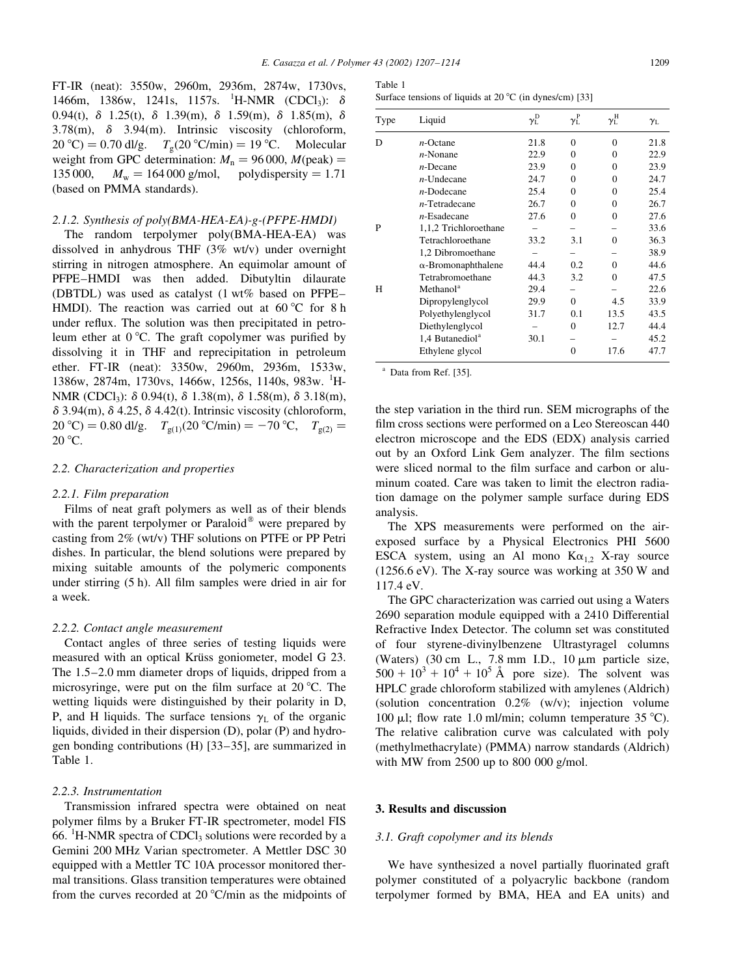FT-IR (neat): 3550w, 2960m, 2936m, 2874w, 1730vs, 1466m, 1386w, 1241s, 1157s. <sup>1</sup>H-NMR (CDCl<sub>3</sub>):  $\delta$ 0.94(t),  $\delta$  1.25(t),  $\delta$  1.39(m),  $\delta$  1.59(m),  $\delta$  1.85(m),  $\delta$ 3.78(m),  $\delta$  3.94(m). Intrinsic viscosity (chloroform,  $20^{\circ}$ C) = 0.70 dl/g.  $T_{\rm g}$ (20 °C/min) = 19 °C. Molecular weight from GPC determination:  $M_n = 96000$ ,  $M(\text{peak}) =$ 135 000,  $M_{\rm w} = 164\,000$  g/mol, polydispersity = 1.71 (based on PMMA standards).

## 2.1.2. Synthesis of poly(BMA-HEA-EA)-g-(PFPE-HMDI)

The random terpolymer poly(BMA-HEA-EA) was dissolved in anhydrous THF (3% wt/v) under overnight stirring in nitrogen atmosphere. An equimolar amount of PFPE-HMDI was then added. Dibutyltin dilaurate (DBTDL) was used as catalyst (1 wt% based on PFPE-HMDI). The reaction was carried out at 60 °C for 8 h under reflux. The solution was then precipitated in petroleum ether at 0 °C. The graft copolymer was purified by dissolving it in THF and reprecipitation in petroleum ether. FT-IR (neat): 3350w, 2960m, 2936m, 1533w, 1386w, 2874m, 1730vs, 1466w, 1256s, 1140s, 983w. <sup>1</sup>H-NMR (CDCl<sub>3</sub>):  $\delta$  0.94(t),  $\delta$  1.38(m),  $\delta$  1.58(m),  $\delta$  3.18(m),  $\delta$  3.94(m),  $\delta$  4.25,  $\delta$  4.42(t). Intrinsic viscosity (chloroform, 20 °C) = 0.80 dl/g.  $T_{g(1)}(20 \text{ °C/min}) = -70 \text{ °C}$ ,  $T_{g(2)} =$  $20^{\circ}$ C.

## 2.2. Characterization and properties

#### 2.2.1. Film preparation

Films of neat graft polymers as well as of their blends with the parent terpolymer or Paraloid<sup>®</sup> were prepared by casting from  $2\%$  (wt/v) THF solutions on PTFE or PP Petri dishes. In particular, the blend solutions were prepared by mixing suitable amounts of the polymeric components under stirring (5 h). All film samples were dried in air for a week.

#### 2.2.2. Contact angle measurement

Contact angles of three series of testing liquids were measured with an optical Krüss goniometer, model G 23. The  $1.5-2.0$  mm diameter drops of liquids, dripped from a microsyringe, were put on the film surface at 20 °C. The wetting liquids were distinguished by their polarity in D, P, and H liquids. The surface tensions  $\gamma_L$  of the organic liquids, divided in their dispersion (D), polar (P) and hydrogen bonding contributions (H) [33-35], are summarized in Table 1.

# 2.2.3. Instrumentation

Transmission infrared spectra were obtained on neat polymer films by a Bruker FT-IR spectrometer, model FIS 66. <sup>1</sup>H-NMR spectra of CDCl<sub>3</sub> solutions were recorded by a Gemini 200 MHz Varian spectrometer. A Mettler DSC 30 equipped with a Mettler TC 10A processor monitored thermal transitions. Glass transition temperatures were obtained from the curves recorded at 20  $^{\circ}$ C/min as the midpoints of

|  |  | Surface tensions of liquids at 20 $^{\circ}$ C (in dynes/cm) [33] |  |
|--|--|-------------------------------------------------------------------|--|
|--|--|-------------------------------------------------------------------|--|

| Type | Liquid                      | $\gamma_{\rm L}^{\rm D}$ | $\gamma^{\text{P}}_{\text{L}}$ | $\gamma^{\rm H}_{\rm L}$ | $\gamma_L$ |
|------|-----------------------------|--------------------------|--------------------------------|--------------------------|------------|
| D    | $n$ -Octane                 | 21.8                     | 0                              | 0                        | 21.8       |
|      | $n$ -Nonane                 | 22.9                     | 0                              | $\Omega$                 | 22.9       |
|      | $n$ -Decane                 | 23.9                     | 0                              | $\Omega$                 | 23.9       |
|      | $n$ -Undecane               | 24.7                     | 0                              | $\Omega$                 | 24.7       |
|      | $n$ -Dodecane               | 25.4                     | $\theta$                       | $\Omega$                 | 25.4       |
|      | $n$ -Tetradecane            | 26.7                     | 0                              | $\Omega$                 | 26.7       |
|      | $n$ -Esadecane              | 27.6                     | $\theta$                       | $\Omega$                 | 27.6       |
| P    | 1,1,2 Trichloroethane       |                          |                                |                          | 33.6       |
|      | Tetrachloroethane           | 33.2                     | 3.1                            | $\Omega$                 | 36.3       |
|      | 1,2 Dibromoethane           |                          |                                |                          | 38.9       |
|      | $\alpha$ -Bromonaphthalene  | 44.4                     | 0.2                            | $\Omega$                 | 44.6       |
|      | Tetrabromoethane            | 44.3                     | 3.2                            | $\Omega$                 | 47.5       |
| H    | Methanol <sup>a</sup>       | 29.4                     |                                |                          | 22.6       |
|      | Dipropylenglycol            | 29.9                     | $\Omega$                       | 4.5                      | 33.9       |
|      | Polyethylenglycol           | 31.7                     | 0.1                            | 13.5                     | 43.5       |
|      | Diethylenglycol             |                          | $\theta$                       | 12.7                     | 44.4       |
|      | 1,4 Butanediol <sup>a</sup> | 30.1                     |                                |                          | 45.2       |
|      | Ethylene glycol             |                          | 0                              | 17.6                     | 47.7       |

<sup>a</sup> Data from Ref. [35].

the step variation in the third run. SEM micrographs of the film cross sections were performed on a Leo Stereoscan 440 electron microscope and the EDS (EDX) analysis carried out by an Oxford Link Gem analyzer. The film sections were sliced normal to the film surface and carbon or aluminum coated. Care was taken to limit the electron radiation damage on the polymer sample surface during EDS analysis.

The XPS measurements were performed on the airexposed surface by a Physical Electronics PHI 5600 ESCA system, using an Al mono  $K\alpha_{1,2}$  X-ray source  $(1256.6 \text{ eV})$ . The X-ray source was working at 350 W and 117.4 eV.

The GPC characterization was carried out using a Waters 2690 separation module equipped with a 2410 Differential Refractive Index Detector. The column set was constituted of four styrene-divinylbenzene Ultrastyragel columns (Waters)  $(30 \text{ cm } L., 7.8 \text{ mm } I.D., 10 \mu \text{m}$  particle size,  $500 + 10^3 + 10^4 + 10^5$  Å pore size). The solvent was HPLC grade chloroform stabilized with amylenes (Aldrich) (solution concentration  $0.2\%$  (w/v); injection volume 100 µl; flow rate 1.0 ml/min; column temperature  $35^{\circ}$ C). The relative calibration curve was calculated with poly (methylmethacrylate) (PMMA) narrow standards (Aldrich) with MW from  $2500$  up to  $800$  000 g/mol.

#### 3. Results and discussion

#### 3.1. Graft copolymer and its blends

We have synthesized a novel partially fluorinated graft polymer constituted of a polyacrylic backbone (random terpolymer formed by BMA, HEA and EA units) and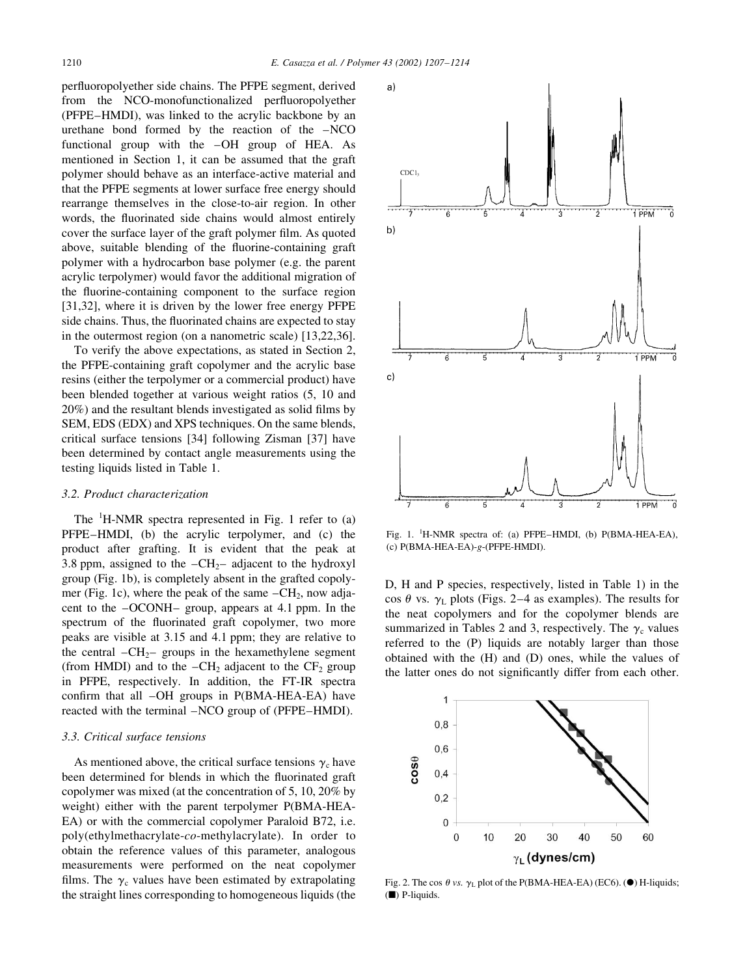perfluoropolyether side chains. The PFPE segment, derived from the NCO-monofunctionalized perfluoropolyether (PFPE–HMDI), was linked to the acrylic backbone by an urethane bond formed by the reaction of the -NCO functional group with the -OH group of HEA. As mentioned in Section 1, it can be assumed that the graft polymer should behave as an interface-active material and that the PFPE segments at lower surface free energy should rearrange themselves in the close-to-air region. In other words, the fluorinated side chains would almost entirely cover the surface layer of the graft polymer film. As quoted above, suitable blending of the fluorine-containing graft polymer with a hydrocarbon base polymer (e.g. the parent acrylic terpolymer) would favor the additional migration of the fluorine-containing component to the surface region [31,32], where it is driven by the lower free energy PFPE side chains. Thus, the fluorinated chains are expected to stay in the outermost region (on a nanometric scale) [13,22,36].

To verify the above expectations, as stated in Section 2, the PFPE-containing graft copolymer and the acrylic base resins (either the terpolymer or a commercial product) have been blended together at various weight ratios (5, 10 and  $20\%$ ) and the resultant blends investigated as solid films by SEM, EDS (EDX) and XPS techniques. On the same blends, critical surface tensions [34] following Zisman [37] have been determined by contact angle measurements using the testing liquids listed in Table 1.

#### 3.2. Product characterization

The  ${}^{1}$ H-NMR spectra represented in Fig. 1 refer to (a) PFPE-HMDI, (b) the acrylic terpolymer, and (c) the product after grafting. It is evident that the peak at 3.8 ppm, assigned to the  $-CH_2$ - adjacent to the hydroxyl group (Fig. 1b), is completely absent in the grafted copolymer (Fig. 1c), where the peak of the same  $-CH_2$ , now adjacent to the  $-OCONH$ -group, appears at 4.1 ppm. In the spectrum of the fluorinated graft copolymer, two more peaks are visible at 3.15 and 4.1 ppm; they are relative to the central  $-CH_2$ -groups in the hexamethylene segment (from HMDI) and to the  $-CH_2$  adjacent to the  $CF_2$  group in PFPE, respectively. In addition, the FT-IR spectra confirm that all -OH groups in P(BMA-HEA-EA) have reacted with the terminal –NCO group of (PFPE–HMDI).

#### 3.3. Critical surface tensions

As mentioned above, the critical surface tensions  $\gamma_c$  have been determined for blends in which the fluorinated graft copolymer was mixed (at the concentration of 5, 10, 20% by weight) either with the parent terpolymer P(BMA-HEA-EA) or with the commercial copolymer Paraloid B72, i.e. poly(ethylmethacrylate-co-methylacrylate). In order to obtain the reference values of this parameter, analogous measurements were performed on the neat copolymer films. The  $\gamma_c$  values have been estimated by extrapolating the straight lines corresponding to homogeneous liquids (the



Fig. 1. <sup>1</sup>H-NMR spectra of: (a) PFPE-HMDI, (b)  $P(BMA-HEA-EA)$ , (c) P(BMA-HEA-EA)-g-(PFPE-HMDI).

D, H and P species, respectively, listed in Table 1) in the cos  $\theta$  vs.  $\gamma_L$  plots (Figs. 2–4 as examples). The results for the neat copolymers and for the copolymer blends are summarized in Tables 2 and 3, respectively. The  $\gamma_c$  values referred to the (P) liquids are notably larger than those obtained with the (H) and (D) ones, while the values of the latter ones do not significantly differ from each other.



Fig. 2. The cos  $\theta$  vs.  $\gamma_L$  plot of the P(BMA-HEA-EA) (EC6). ( $\bullet$ ) H-liquids;  $(\blacksquare)$  P-liquids.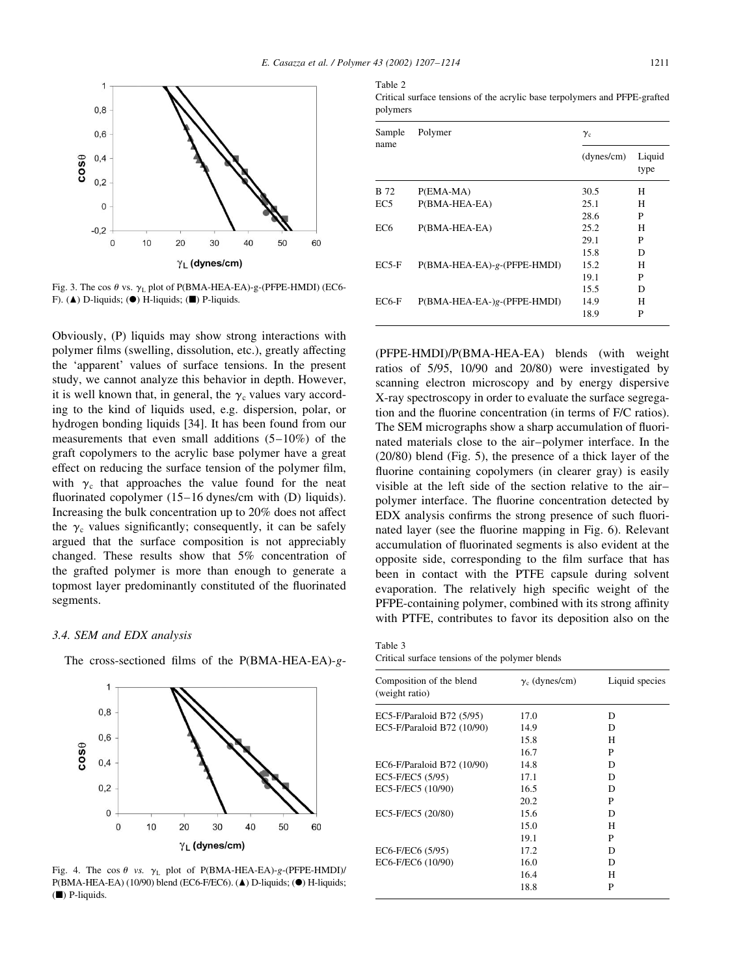Table 2



Fig. 3. The cos  $\theta$  vs.  $\gamma_L$  plot of P(BMA-HEA-EA)-g-(PFPE-HMDI) (EC6-F). ( $\blacktriangle$ ) D-liquids; ( $\blacktriangleright$ ) H-liquids; ( $\blacktriangleright$ ) P-liquids.

Obviously, (P) liquids may show strong interactions with polymer films (swelling, dissolution, etc.), greatly affecting the 'apparent' values of surface tensions. In the present study, we cannot analyze this behavior in depth. However, it is well known that, in general, the  $\gamma_c$  values vary according to the kind of liquids used, e.g. dispersion, polar, or hydrogen bonding liquids [34]. It has been found from our measurements that even small additions  $(5-10\%)$  of the graft copolymers to the acrylic base polymer have a great effect on reducing the surface tension of the polymer film, with  $\gamma_c$  that approaches the value found for the neat fluorinated copolymer (15–16 dynes/cm with (D) liquids). Increasing the bulk concentration up to 20% does not affect the  $\gamma_c$  values significantly; consequently, it can be safely argued that the surface composition is not appreciably changed. These results show that 5% concentration of the grafted polymer is more than enough to generate a topmost layer predominantly constituted of the fluorinated segments.

#### 3.4. SEM and EDX analysis



The cross-sectioned films of the P(BMA-HEA-EA)-g-

Fig. 4. The cos  $\theta$  vs.  $\gamma_L$  plot of P(BMA-HEA-EA)-g-(PFPE-HMDI)/ P(BMA-HEA-EA) (10/90) blend (EC6-F/EC6). (A) D-liquids; (O) H-liquids;  $(\blacksquare)$  P-liquids.

Critical surface tensions of the acrylic base terpolymers and PFPE-grafted polymers

| Sample          | Polymer                     | $\gamma_{\rm c}$ |                |  |
|-----------------|-----------------------------|------------------|----------------|--|
| name            |                             | (dynes/cm)       | Liquid<br>type |  |
| <b>B</b> 72     | P(EMA-MA)                   | 30.5             | H              |  |
| EC <sub>5</sub> | P(BMA-HEA-EA)               | 25.1             | H              |  |
|                 |                             | 28.6             | P              |  |
| EC6             | P(BMA-HEA-EA)               | 25.2             | H              |  |
|                 |                             | 29.1             | P              |  |
|                 |                             | 15.8             | D              |  |
| $EC5-F$         | P(BMA-HEA-EA)-g-(PFPE-HMDI) | 15.2             | H              |  |
|                 |                             | 19.1             | P              |  |
|                 |                             | 15.5             | D              |  |
| $EC6-F$         | P(BMA-HEA-EA-)g-(PFPE-HMDI) | 14.9             | Н              |  |
|                 |                             | 18.9             | P              |  |

(PFPE-HMDI)/P(BMA-HEA-EA) blends (with weight ratios of 5/95, 10/90 and 20/80) were investigated by scanning electron microscopy and by energy dispersive X-ray spectroscopy in order to evaluate the surface segregation and the fluorine concentration (in terms of F/C ratios). The SEM micrographs show a sharp accumulation of fluorinated materials close to the air-polymer interface. In the (20/80) blend (Fig. 5), the presence of a thick layer of the fluorine containing copolymers (in clearer gray) is easily visible at the left side of the section relative to the airpolymer interface. The fluorine concentration detected by EDX analysis confirms the strong presence of such fluorinated layer (see the fluorine mapping in Fig. 6). Relevant accumulation of fluorinated segments is also evident at the opposite side, corresponding to the film surface that has been in contact with the PTFE capsule during solvent evaporation. The relatively high specific weight of the PFPE-containing polymer, combined with its strong affinity with PTFE, contributes to favor its deposition also on the

Table 3 Critical surface tensions of the polymer blends

| Composition of the blend<br>(weight ratio) | $\gamma_c$ (dynes/cm) | Liquid species |
|--------------------------------------------|-----------------------|----------------|
| EC5-F/Paraloid B72 (5/95)                  | 17.0                  | D              |
| EC5-F/Paraloid B72 (10/90)                 | 14.9                  | D              |
|                                            | 15.8                  | H              |
|                                            | 16.7                  | P              |
| EC6-F/Paraloid B72 (10/90)                 | 14.8                  | D              |
| EC5-F/EC5 (5/95)                           | 17.1                  | D              |
| EC5-F/EC5 (10/90)                          | 16.5                  | D              |
|                                            | 20.2                  | P              |
| EC5-F/EC5 (20/80)                          | 15.6                  | D              |
|                                            | 15.0                  | Н              |
|                                            | 19.1                  | P              |
| EC6-F/EC6 (5/95)                           | 17.2                  | D              |
| EC6-F/EC6 (10/90)                          | 16.0                  | D              |
|                                            | 16.4                  | Н              |
|                                            | 18.8                  | P              |
|                                            |                       |                |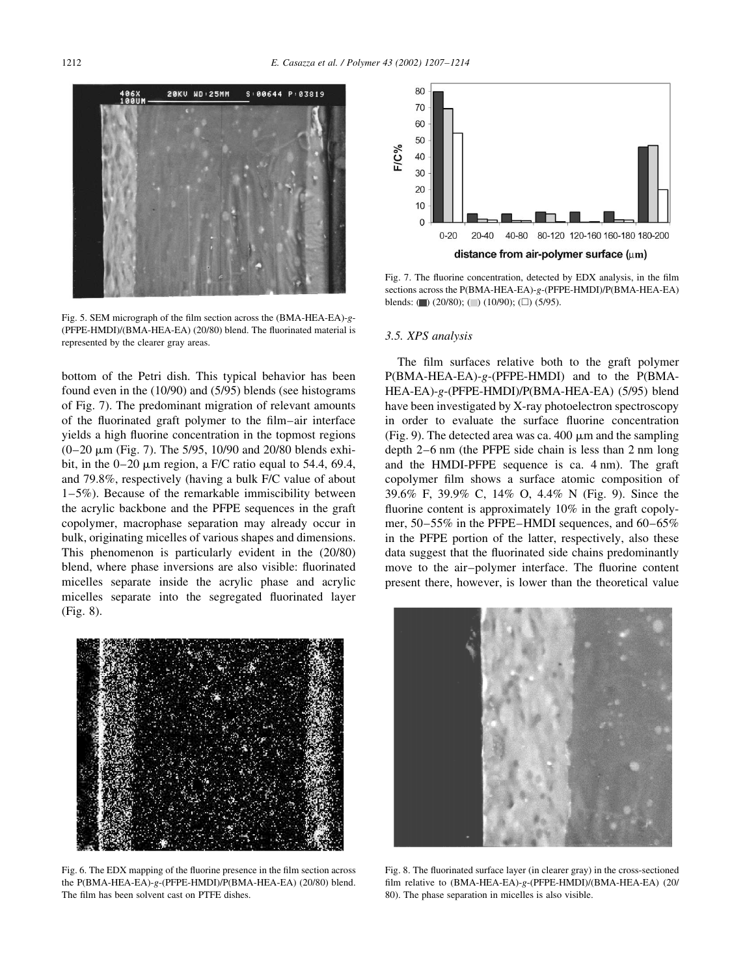

Fig. 5. SEM micrograph of the film section across the (BMA-HEA-EA)-g-(PFPE-HMDI)/(BMA-HEA-EA) (20/80) blend. The fluorinated material is represented by the clearer gray areas.

bottom of the Petri dish. This typical behavior has been found even in the  $(10/90)$  and  $(5/95)$  blends (see histograms) of Fig. 7). The predominant migration of relevant amounts of the fluorinated graft polymer to the film-air interface yields a high fluorine concentration in the topmost regions  $(0-20 \mu m)$  (Fig. 7). The 5/95, 10/90 and 20/80 blends exhibit, in the  $0-20 \mu m$  region, a F/C ratio equal to 54.4, 69.4, and 79.8%, respectively (having a bulk F/C value of about  $1-5\%$ ). Because of the remarkable immiscibility between the acrylic backbone and the PFPE sequences in the graft copolymer, macrophase separation may already occur in bulk, originating micelles of various shapes and dimensions. This phenomenon is particularly evident in the (20/80) blend, where phase inversions are also visible: fluorinated micelles separate inside the acrylic phase and acrylic micelles separate into the segregated fluorinated layer  $(Fig. 8)$ .



Fig. 6. The EDX mapping of the fluorine presence in the film section across the P(BMA-HEA-EA)-g-(PFPE-HMDI)/P(BMA-HEA-EA) (20/80) blend. The film has been solvent cast on PTFE dishes.



Fig. 7. The fluorine concentration, detected by EDX analysis, in the film sections across the P(BMA-HEA-EA)-g-(PFPE-HMDI)/P(BMA-HEA-EA) blends: ( $\Box$ ) (20/80); ( $\Box$ ) (10/90); ( $\Box$ ) (5/95).

#### 3.5. XPS analysis

The film surfaces relative both to the graft polymer  $P(BMA-HEA-EA)-g-(PFPE-HMDI)$  and to the  $P(BMA-$ HEA-EA)-g-(PFPE-HMDI)/P(BMA-HEA-EA) (5/95) blend have been investigated by X-ray photoelectron spectroscopy in order to evaluate the surface fluorine concentration (Fig. 9). The detected area was ca. 400  $\mu$ m and the sampling depth 2–6 nm (the PFPE side chain is less than 2 nm long and the HMDI-PFPE sequence is ca. 4 nm). The graft copolymer film shows a surface atomic composition of 39.6% F, 39.9% C, 14% O, 4.4% N (Fig. 9). Since the fluorine content is approximately 10% in the graft copolymer, 50–55% in the PFPE–HMDI sequences, and 60–65% in the PFPE portion of the latter, respectively, also these data suggest that the fluorinated side chains predominantly move to the air-polymer interface. The fluorine content present there, however, is lower than the theoretical value



Fig. 8. The fluorinated surface layer (in clearer gray) in the cross-sectioned film relative to (BMA-HEA-EA)-g-(PFPE-HMDI)/(BMA-HEA-EA) (20/ 80). The phase separation in micelles is also visible.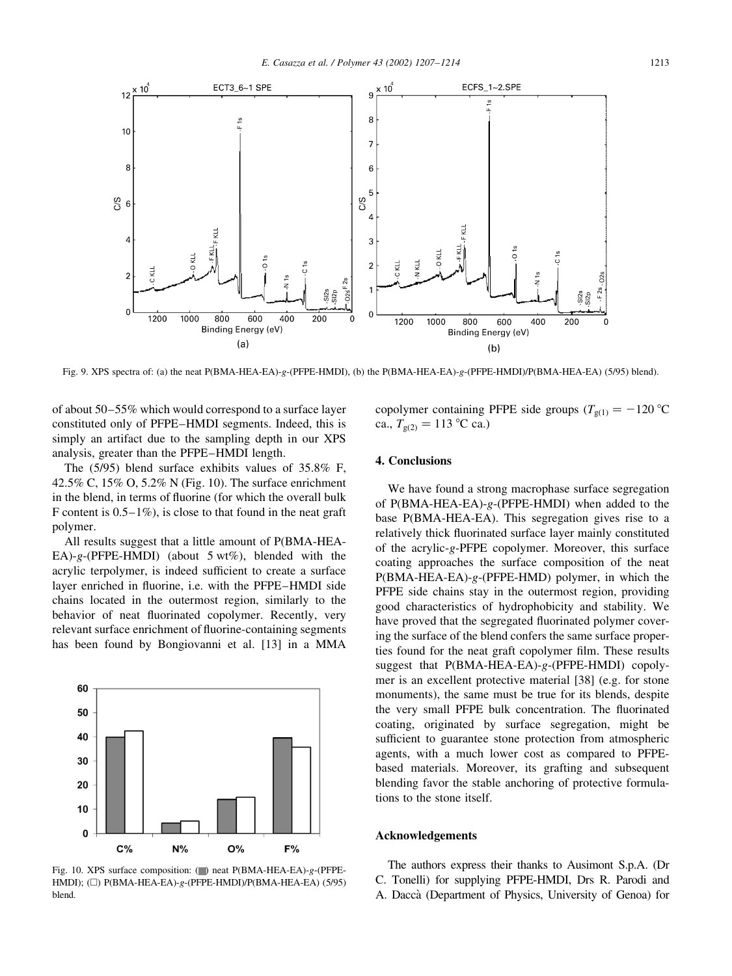

Fig. 9. XPS spectra of: (a) the neat P(BMA-HEA-EA)-g-(PFPE-HMDI), (b) the P(BMA-HEA-EA)-g-(PFPE-HMDI)/P(BMA-HEA-EA) (5/95) blend).

of about 50–55% which would correspond to a surface layer constituted only of PFPE-HMDI segments. Indeed, this is simply an artifact due to the sampling depth in our XPS analysis, greater than the PFPE-HMDI length.

The  $(5/95)$  blend surface exhibits values of  $35.8\%$  F, 42.5% C, 15% O, 5.2% N (Fig. 10). The surface enrichment in the blend, in terms of fluorine (for which the overall bulk F content is  $0.5-1\%$ ), is close to that found in the neat graft polymer.

All results suggest that a little amount of P(BMA-HEA-EA)-g-(PFPE-HMDI) (about  $5 \text{ wt\%}$ ), blended with the acrylic terpolymer, is indeed sufficient to create a surface layer enriched in fluorine, i.e. with the PFPE-HMDI side chains located in the outermost region, similarly to the behavior of neat fluorinated copolymer. Recently, very relevant surface enrichment of fluorine-containing segments has been found by Bongiovanni et al. [13] in a MMA



Fig. 10. XPS surface composition: (D) neat P(BMA-HEA-EA)-g-(PFPE-HMDI); ( $\Box$ ) P(BMA-HEA-EA)-g-(PFPE-HMDI)/P(BMA-HEA-EA) (5/95) blend.

copolymer containing PFPE side groups  $(T_{g(1)} = -120 \degree C)$ ca.,  $T_{g(2)} = 113 \text{ °C}$  ca.)

# 4. Conclusions

We have found a strong macrophase surface segregation of  $P(BMA-HEA-EA)-g-(PFPE-HMDI)$  when added to the base P(BMA-HEA-EA). This segregation gives rise to a relatively thick fluorinated surface layer mainly constituted of the acrylic-g-PFPE copolymer. Moreover, this surface coating approaches the surface composition of the neat  $P(BMA-HEA-EA)-g-(PFPE-HMD)$  polymer, in which the PFPE side chains stay in the outermost region, providing good characteristics of hydrophobicity and stability. We have proved that the segregated fluorinated polymer covering the surface of the blend confers the same surface properties found for the neat graft copolymer film. These results suggest that  $P(BMA-HEA-EA)-g-(PFPE-HMDI)$  copolymer is an excellent protective material [38] (e.g. for stone monuments), the same must be true for its blends, despite the very small PFPE bulk concentration. The fluorinated coating, originated by surface segregation, might be sufficient to guarantee stone protection from atmospheric agents, with a much lower cost as compared to PFPEbased materials. Moreover, its grafting and subsequent blending favor the stable anchoring of protective formulations to the stone itself.

## **Acknowledgements**

The authors express their thanks to Ausimont S.p.A. (Dr C. Tonelli) for supplying PFPE-HMDI, Drs R. Parodi and A. Daccà (Department of Physics, University of Genoa) for